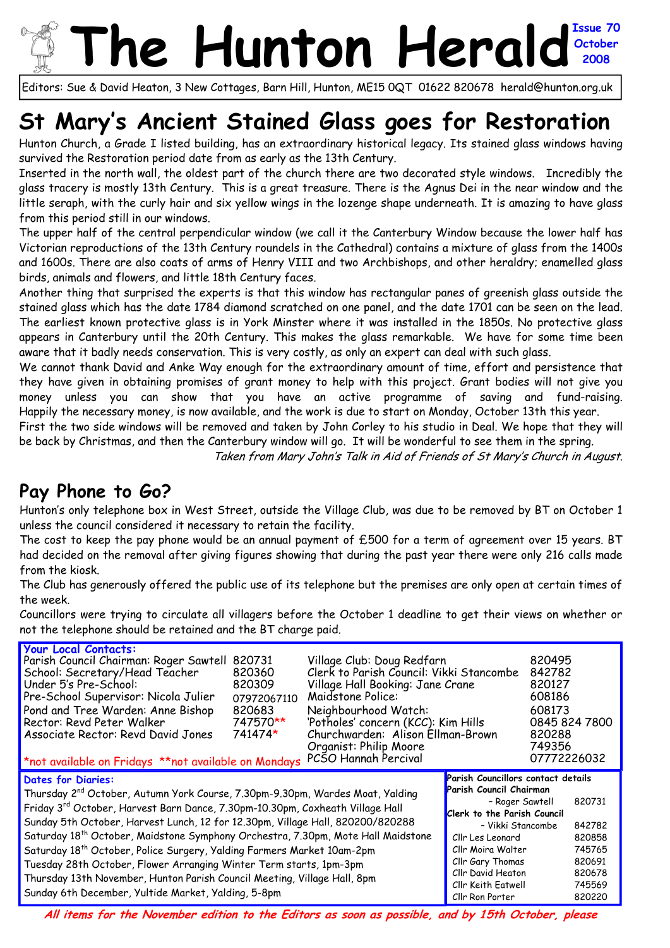## **The Hunton Herald October 2008**

Editors: Sue & David Heaton, 3 New Cottages, Barn Hill, Hunton, ME15 0QT 01622 820678 herald@hunton.org.uk

# **St Mary's Ancient Stained Glass goes for Restoration**

Hunton Church, a Grade I listed building, has an extraordinary historical legacy. Its stained glass windows having survived the Restoration period date from as early as the 13th Century.

Inserted in the north wall, the oldest part of the church there are two decorated style windows. Incredibly the glass tracery is mostly 13th Century. This is a great treasure. There is the Agnus Dei in the near window and the little seraph, with the curly hair and six yellow wings in the lozenge shape underneath. It is amazing to have glass from this period still in our windows.

The upper half of the central perpendicular window (we call it the Canterbury Window because the lower half has Victorian reproductions of the 13th Century roundels in the Cathedral) contains a mixture of glass from the 1400s and 1600s. There are also coats of arms of Henry VIII and two Archbishops, and other heraldry; enamelled glass birds, animals and flowers, and little 18th Century faces.

Another thing that surprised the experts is that this window has rectangular panes of greenish glass outside the stained glass which has the date 1784 diamond scratched on one panel, and the date 1701 can be seen on the lead. The earliest known protective glass is in York Minster where it was installed in the 1850s. No protective glass appears in Canterbury until the 20th Century. This makes the glass remarkable. We have for some time been aware that it badly needs conservation. This is very costly, as only an expert can deal with such glass.

We cannot thank David and Anke Way enough for the extraordinary amount of time, effort and persistence that they have given in obtaining promises of grant money to help with this project. Grant bodies will not give you money unless you can show that you have an active programme of saving and fund-raising. Happily the necessary money, is now available, and the work is due to start on Monday, October 13th this year.

First the two side windows will be removed and taken by John Corley to his studio in Deal. We hope that they will be back by Christmas, and then the Canterbury window will go. It will be wonderful to see them in the spring.

Taken from Mary John's Talk in Aid of Friends of St Mary's Church in August.

## **Pay Phone to Go?**

Hunton's only telephone box in West Street, outside the Village Club, was due to be removed by BT on October 1 unless the council considered it necessary to retain the facility.

The cost to keep the pay phone would be an annual payment of £500 for a term of agreement over 15 years. BT had decided on the removal after giving figures showing that during the past year there were only 216 calls made from the kiosk.

The Club has generously offered the public use of its telephone but the premises are only open at certain times of the week.

Councillors were trying to circulate all villagers before the October 1 deadline to get their views on whether or not the telephone should be retained and the BT charge paid.

| <b>Your Local Contacts:</b><br>Parish Council Chairman: Roger Sawtell<br>School: Secretary/Head Teacher<br>Under 5's Pre-School:<br>Pre-School Supervisor: Nicola Julier<br>Pond and Tree Warden: Anne Bishop<br>Rector: Revd Peter Walker<br>Associate Rector: Revd David Jones<br>*not available on Fridays **not available on Mondays                                                                                                                                                                                                                                                                                                                                                             | 820731<br>820360<br>820309<br>07972067110<br>820683<br>747570**<br>741474* | Village Club: Doug Redfarn<br>Clerk to Parish Council: Vikki Stancombe<br>Village Hall Booking: Jane Crane<br>Maidstone Police:<br>Neighbourhood Watch:<br>'Potholes' concern (KCC): Kim Hills<br>Churchwarden: Alison Ellman-Brown<br>Organist: Philip Moore<br>PCSO Hannah Percival |                                                                                                                                                                                                                                                                        | 820495<br>842782<br>820127<br>608186<br>608173<br>820288<br>749356<br>07772226032 | 0845 824 7800                                                                |
|------------------------------------------------------------------------------------------------------------------------------------------------------------------------------------------------------------------------------------------------------------------------------------------------------------------------------------------------------------------------------------------------------------------------------------------------------------------------------------------------------------------------------------------------------------------------------------------------------------------------------------------------------------------------------------------------------|----------------------------------------------------------------------------|---------------------------------------------------------------------------------------------------------------------------------------------------------------------------------------------------------------------------------------------------------------------------------------|------------------------------------------------------------------------------------------------------------------------------------------------------------------------------------------------------------------------------------------------------------------------|-----------------------------------------------------------------------------------|------------------------------------------------------------------------------|
| <b>Dates for Diaries:</b><br>Thursday 2 <sup>nd</sup> October, Autumn York Course, 7.30pm-9.30pm, Wardes Moat, Yalding<br>Friday 3 <sup>rd</sup> October, Harvest Barn Dance, 7.30pm-10.30pm, Coxheath Village Hall<br>Sunday 5th October, Harvest Lunch, 12 for 12.30pm, Village Hall, 820200/820288<br>Saturday 18 <sup>th</sup> October, Maidstone Symphony Orchestra, 7.30pm, Mote Hall Maidstone<br>Saturday 18 <sup>th</sup> October, Police Surgery, Yalding Farmers Market 10am-2pm<br>Tuesday 28th October, Flower Arranging Winter Term starts, 1pm-3pm<br>Thursday 13th November, Hunton Parish Council Meeting, Village Hall, 8pm<br>Sunday 6th December, Yultide Market, Yalding, 5-8pm |                                                                            |                                                                                                                                                                                                                                                                                       | Parish Councillors contact details<br>Parish Council Chairman<br>- Roger Sawtell<br><b>Clerk to the Parish Council</b><br>– Vikki Stancombe<br>Cllr Les Leonard<br>Cllr Moira Walter<br>Cllr Gary Thomas<br>Cllr David Heaton<br>Cllr Keith Eatwell<br>Cllr Ron Porter |                                                                                   | 820731<br>842782<br>820858<br>745765<br>820691<br>820678<br>745569<br>820220 |

**All items for the November edition to the Editors as soon as possible, and by 15th October, please**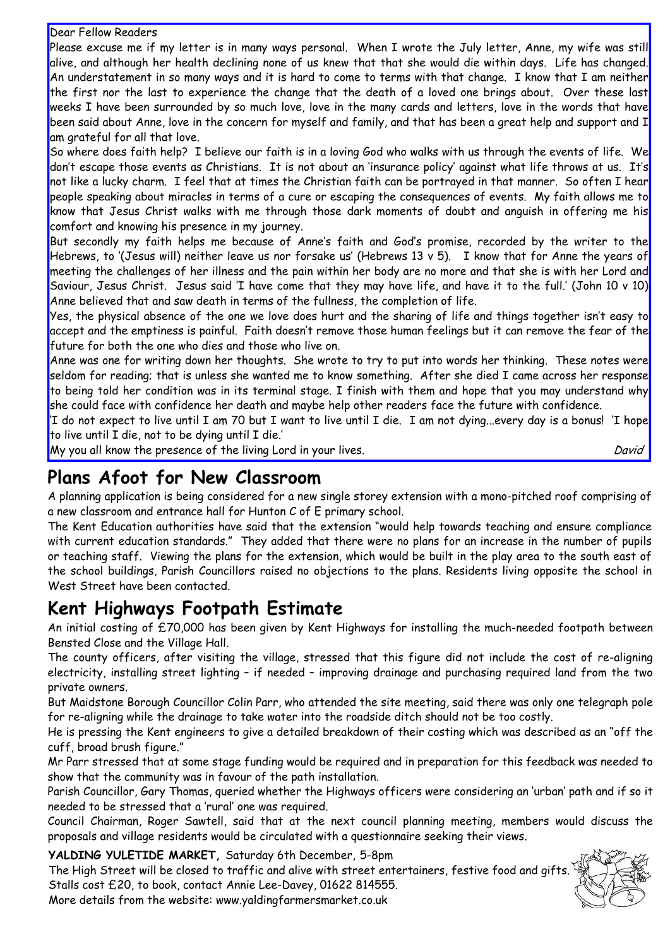#### Dear Fellow Readers

Please excuse me if my letter is in many ways personal. When I wrote the July letter, Anne, my wife was still alive, and although her health declining none of us knew that that she would die within days. Life has changed. An understatement in so many ways and it is hard to come to terms with that change. I know that I am neither the first nor the last to experience the change that the death of a loved one brings about. Over these last weeks I have been surrounded by so much love, love in the many cards and letters, love in the words that have been said about Anne, love in the concern for myself and family, and that has been a great help and support and I am grateful for all that love.

So where does faith help? I believe our faith is in a loving God who walks with us through the events of life. We don't escape those events as Christians. It is not about an 'insurance policy' against what life throws at us. It's not like a lucky charm. I feel that at times the Christian faith can be portrayed in that manner. So often I hear people speaking about miracles in terms of a cure or escaping the consequences of events. My faith allows me to know that Jesus Christ walks with me through those dark moments of doubt and anguish in offering me his comfort and knowing his presence in my journey.

But secondly my faith helps me because of Anne's faith and God's promise, recorded by the writer to the Hebrews, to '(Jesus will) neither leave us nor forsake us' (Hebrews 13 v 5). I know that for Anne the years of meeting the challenges of her illness and the pain within her body are no more and that she is with her Lord and Saviour, Jesus Christ. Jesus said 'I have come that they may have life, and have it to the full.' (John 10 v 10) Anne believed that and saw death in terms of the fullness, the completion of life.

Yes, the physical absence of the one we love does hurt and the sharing of life and things together isn't easy to accept and the emptiness is painful. Faith doesn't remove those human feelings but it can remove the fear of the future for both the one who dies and those who live on.

Anne was one for writing down her thoughts. She wrote to try to put into words her thinking. These notes were seldom for reading; that is unless she wanted me to know something. After she died I came across her response to being told her condition was in its terminal stage. I finish with them and hope that you may understand why she could face with confidence her death and maybe help other readers face the future with confidence.

'I do not expect to live until I am 70 but I want to live until I die. I am not dying...every day is a bonus! 'I hope to live until I die, not to be dying until I die.'

My you all know the presence of the living Lord in your lives.

## **Plans Afoot for New Classroom**

A planning application is being considered for a new single storey extension with a mono-pitched roof comprising of a new classroom and entrance hall for Hunton C of E primary school.

The Kent Education authorities have said that the extension "would help towards teaching and ensure compliance with current education standards." They added that there were no plans for an increase in the number of pupils or teaching staff. Viewing the plans for the extension, which would be built in the play area to the south east of the school buildings, Parish Councillors raised no objections to the plans. Residents living opposite the school in West Street have been contacted.

## **Kent Highways Footpath Estimate**

An initial costing of £70,000 has been given by Kent Highways for installing the much-needed footpath between Bensted Close and the Village Hall.

The county officers, after visiting the village, stressed that this figure did not include the cost of re-aligning electricity, installing street lighting – if needed – improving drainage and purchasing required land from the two private owners.

But Maidstone Borough Councillor Colin Parr, who attended the site meeting, said there was only one telegraph pole for re-aligning while the drainage to take water into the roadside ditch should not be too costly.

He is pressing the Kent engineers to give a detailed breakdown of their costing which was described as an "off the cuff, broad brush figure."

Mr Parr stressed that at some stage funding would be required and in preparation for this feedback was needed to show that the community was in favour of the path installation.

Parish Councillor, Gary Thomas, queried whether the Highways officers were considering an 'urban' path and if so it needed to be stressed that a 'rural' one was required.

Council Chairman, Roger Sawtell, said that at the next council planning meeting, members would discuss the proposals and village residents would be circulated with a questionnaire seeking their views.

**YALDING YULETIDE MARKET,** Saturday 6th December, 5-8pm

The High Street will be closed to traffic and alive with street entertainers, festive food and gifts. Stalls cost £20, to book, contact Annie Lee-Davey, 01622 814555.

More details from the website: www.yaldingfarmersmarket.co.uk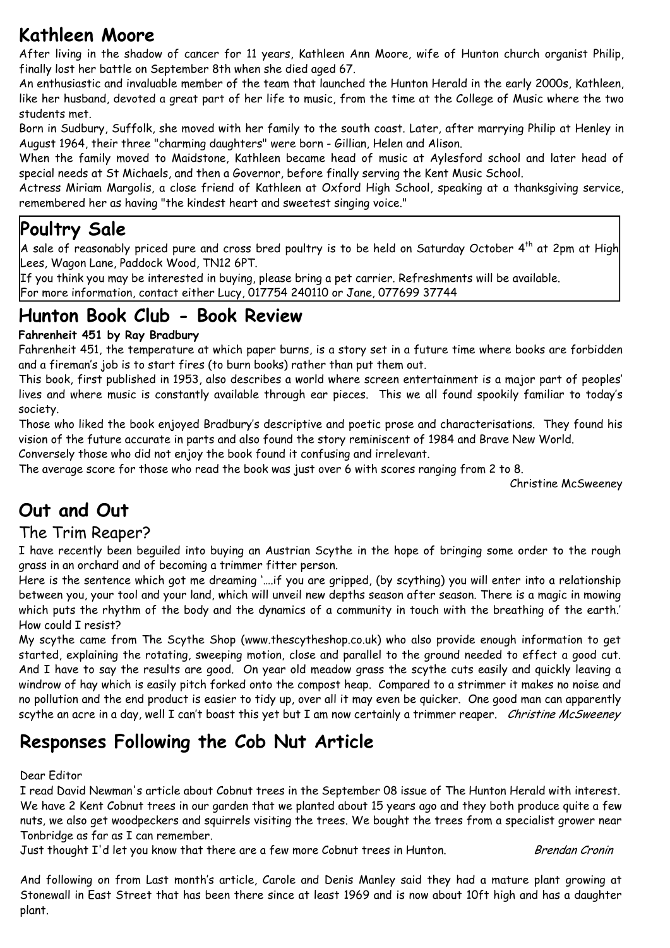## **Kathleen Moore**

After living in the shadow of cancer for 11 years, Kathleen Ann Moore, wife of Hunton church organist Philip, finally lost her battle on September 8th when she died aged 67.

An enthusiastic and invaluable member of the team that launched the Hunton Herald in the early 2000s, Kathleen, like her husband, devoted a great part of her life to music, from the time at the College of Music where the two students met.

Born in Sudbury, Suffolk, she moved with her family to the south coast. Later, after marrying Philip at Henley in August 1964, their three "charming daughters" were born - Gillian, Helen and Alison.

When the family moved to Maidstone, Kathleen became head of music at Aylesford school and later head of special needs at St Michaels, and then a Governor, before finally serving the Kent Music School.

Actress Miriam Margolis, a close friend of Kathleen at Oxford High School, speaking at a thanksgiving service, remembered her as having "the kindest heart and sweetest singing voice."

## **Poultry Sale**

A sale of reasonably priced pure and cross bred poultry is to be held on Saturday October 4th at 2pm at High Lees, Wagon Lane, Paddock Wood, TN12 6PT.

If you think you may be interested in buying, please bring a pet carrier. Refreshments will be available. For more information, contact either Lucy, 017754 240110 or Jane, 077699 37744

## **Hunton Book Club - Book Review**

#### **Fahrenheit 451 by Ray Bradbury**

Fahrenheit 451, the temperature at which paper burns, is a story set in a future time where books are forbidden and a fireman's job is to start fires (to burn books) rather than put them out.

This book, first published in 1953, also describes a world where screen entertainment is a major part of peoples' lives and where music is constantly available through ear pieces. This we all found spookily familiar to today's society.

Those who liked the book enjoyed Bradbury's descriptive and poetic prose and characterisations. They found his vision of the future accurate in parts and also found the story reminiscent of 1984 and Brave New World.

Conversely those who did not enjoy the book found it confusing and irrelevant.

The average score for those who read the book was just over 6 with scores ranging from 2 to 8.

Christine McSweeney

# **Out and Out**

#### The Trim Reaper?

I have recently been beguiled into buying an Austrian Scythe in the hope of bringing some order to the rough grass in an orchard and of becoming a trimmer fitter person.

Here is the sentence which got me dreaming '….if you are gripped, (by scything) you will enter into a relationship between you, your tool and your land, which will unveil new depths season after season. There is a magic in mowing which puts the rhythm of the body and the dynamics of a community in touch with the breathing of the earth.' How could I resist?

My scythe came from The Scythe Shop (www.thescytheshop.co.uk) who also provide enough information to get started, explaining the rotating, sweeping motion, close and parallel to the ground needed to effect a good cut. And I have to say the results are good. On year old meadow grass the scythe cuts easily and quickly leaving a windrow of hay which is easily pitch forked onto the compost heap. Compared to a strimmer it makes no noise and no pollution and the end product is easier to tidy up, over all it may even be quicker. One good man can apparently scythe an acre in a day, well I can't boast this yet but I am now certainly a trimmer reaper. Christine McSweeney

## **Responses Following the Cob Nut Article**

#### Dear Editor

I read David Newman's article about Cobnut trees in the September 08 issue of The Hunton Herald with interest. We have 2 Kent Cobnut trees in our garden that we planted about 15 years ago and they both produce quite a few nuts, we also get woodpeckers and squirrels visiting the trees. We bought the trees from a specialist grower near Tonbridge as far as I can remember.

Just thought I'd let you know that there are a few more Cobnut trees in Hunton. Brendan Cronin

And following on from Last month's article, Carole and Denis Manley said they had a mature plant growing at Stonewall in East Street that has been there since at least 1969 and is now about 10ft high and has a daughter plant.